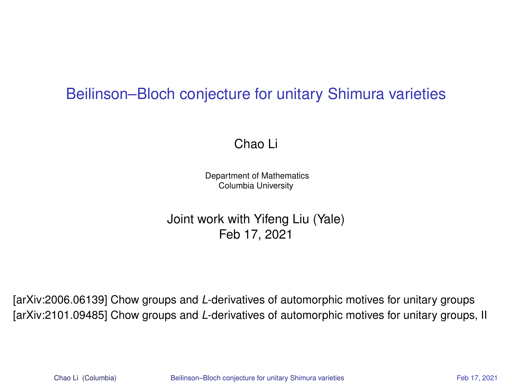### Beilinson–Bloch conjecture for unitary Shimura varieties

<span id="page-0-0"></span>Chao Li

Department of Mathematics Columbia University

Joint work with Yifeng Liu (Yale) Feb 17, 2021

[\[arXiv:2006.06139\]](https://arxiv.org/abs/2006.06139) Chow groups and *L*-derivatives of automorphic motives for unitary groups [\[arXiv:2101.09485\]](https://arxiv.org/abs/2101.09485) Chow groups and *L*-derivatives of automorphic motives for unitary groups, II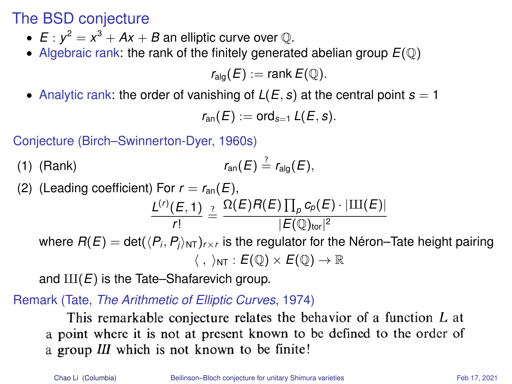The BSD conjecture

- $E: y^2 = x^3 + Ax + B$  an elliptic curve over  $\mathbb Q$ .
- Algebraic rank: the rank of the finitely generated abelian group  $E(\mathbb{Q})$

 $r_{\text{alo}}(E) := \text{rank } E(\mathbb{Q}).$ 

• Analytic rank: the order of vanishing of  $L(E, s)$  at the central point  $s = 1$ 

 $r_{\text{an}}(E) := \text{ord}_{s=1} L(E, s).$ 

Conjecture (Birch–Swinnerton-Dyer, 1960s)

(1) (Rank) 
$$
r_{\text{an}}(E) \stackrel{?}{=} r_{\text{alg}}(E),
$$

(2) (Leading coefficient) For 
$$
r = r_{an}(E)
$$
,  
\n
$$
\frac{L^{(r)}(E, 1)}{r!} \stackrel{?}{=} \frac{\Omega(E)R(E)\prod_{p}c_{p}(E)\cdot|\text{III}(E)|}{|E(\mathbb{Q})_{\text{tor}}|^{2}}
$$
\nwhere  $R(E) = \det(\langle P_i, P_j \rangle_{\text{NT}})_{r \times r}$  is the regulator for the Néron–Tate height pairing  
\n $\langle , \rangle_{\text{NT}} : E(\mathbb{Q}) \times E(\mathbb{Q}) \to \mathbb{R}$ 

and  $III(E)$  is the Tate–Shafarevich group.

Remark (Tate, *The Arithmetic of Elliptic Curves*, 1974)

This remarkable conjecture relates the behavior of a function L at a point where it is not at present known to be defined to the order of a group III which is not known to be finite!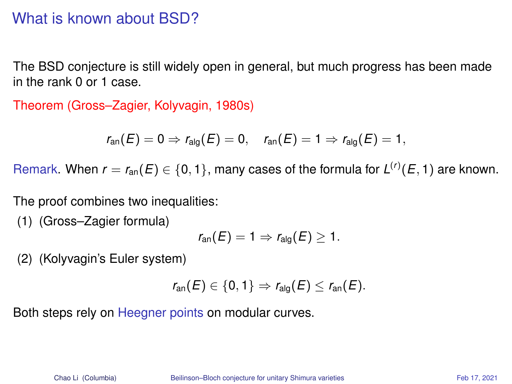### What is known about BSD?

The BSD conjecture is still widely open in general, but much progress has been made in the rank 0 or 1 case.

Theorem (Gross–Zagier, Kolyvagin, 1980s)

$$
r_{\text{an}}(E)=0 \Rightarrow r_{\text{alg}}(E)=0, \quad r_{\text{an}}(E)=1 \Rightarrow r_{\text{alg}}(E)=1,
$$

Remark. When  $r = r_{\text{an}}(E) \in \{0, 1\}$ , many cases of the formula for  $L^{(r)}(E, 1)$  are known.

The proof combines two inequalities:

(1) (Gross–Zagier formula)

$$
r_{\text{an}}(E)=1 \Rightarrow r_{\text{alg}}(E)\geq 1.
$$

(2) (Kolyvagin's Euler system)

$$
r_{\text{an}}(E) \in \{0,1\} \Rightarrow r_{\text{alg}}(E) \leq r_{\text{an}}(E).
$$

Both steps rely on Heegner points on modular curves.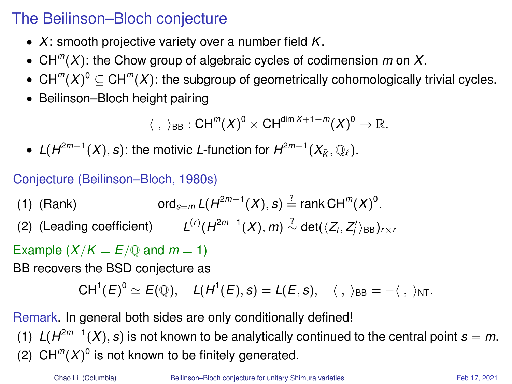## The Beilinson–Bloch conjecture

- *X*: smooth projective variety over a number field *K*.
- CH*<sup>m</sup>* (*X*): the Chow group of algebraic cycles of codimension *m* on *X*.
- $CH^{m}(X)^{0} \subseteq CH^{m}(X)$ : the subgroup of geometrically cohomologically trivial cycles.
- Beilinson–Bloch height pairing

$$
\langle\;,\;\rangle_{\textup{BB}}: \textup{CH}^m(X)^0\times \textup{CH}^{\textup{dim}\,X+1-m}(X)^0\to \mathbb{R}.
$$

●  $L(H^{2m-1}(X), s)$ : the motivic *L*-function for  $H^{2m-1}(X_{\bar{K}}, \mathbb{Q}_{\ell})$ .

### Conjecture (Beilinson–Bloch, 1980s)

- (1) (Rank)  $2^{2m-1}(X)$ , *s*)  $\stackrel{?}{=}$  rank CH<sup>m</sup>(*X*)<sup>0</sup>.
- (2) (Leading coefficient)  $L^{(r)}(H^{2m-1}(X), m) \stackrel{?}{\sim} \det(\langle Z_i, Z'_i \rangle_{\text{BB}})_{r \times r}$

Example  $(X/K = E/\mathbb{O}$  and  $m = 1$ )

BB recovers the BSD conjecture as

$$
CH^1(E)^0\simeq E(\mathbb{Q}),\quad L(H^1(E),s)=L(E,s),\quad \langle\;,\;\rangle_{BB}=-\langle\;,\;\rangle_{NT}.
$$

Remark. In general both sides are only conditionally defined!

(1)  $L(H^{2m-1}(X), s)$  is not known to be analytically continued to the central point  $s = m$ . (2)  $CH^{m}(X)^{0}$  is not known to be finitely generated.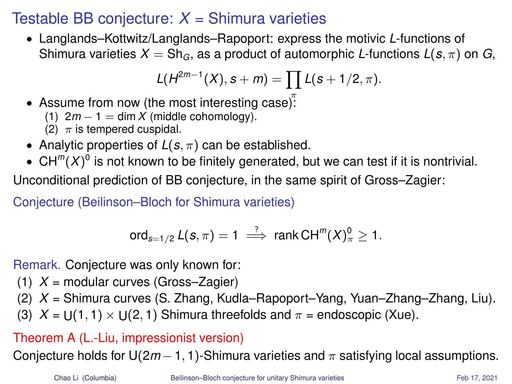# Testable BB conjecture:  $X =$  Shimura varieties

• Langlands–Kottwitz/Langlands–Rapoport: express the motivic *L*-functions of Shimura varieties  $X = Sh_G$ , as a product of automorphic *L*-functions  $L(s, \pi)$  on *G*,

$$
L(H^{2m-1}(X), s+m) = \prod L(s+1/2, \pi).
$$

- Assume from now (the most interesting case):
	- (1)  $2m 1 = \dim X$  (middle cohomology).
	- (2)  $\pi$  is tempered cuspidal.
- Analytic properties of  $L(s, \pi)$  can be established.
- $\bullet \;$  CH<sup>m</sup> $(X)^0$  is not known to be finitely generated, but we can test if it is nontrivial.

Unconditional prediction of BB conjecture, in the same spirit of Gross–Zagier:

Conjecture (Beilinson–Bloch for Shimura varieties)

$$
\text{ord}_{s=1/2} L(s,\pi) = 1 \stackrel{?}{\implies} \text{rank } CH^m(X)_{\pi}^0 \geq 1.
$$

Remark. Conjecture was only known for:

- (1) *X* = modular curves (Gross–Zagier)
- (2) *X* = Shimura curves (S. Zhang, Kudla–Rapoport–Yang, Yuan–Zhang–Zhang, Liu).
- (3)  $X = U(1, 1) \times U(2, 1)$  Shimura threefolds and  $\pi$  = endoscopic (Xue).

### Theorem A (L.-Liu, impressionist version)

Conjecture holds for  $U(2m-1, 1)$ -Shimura varieties and  $\pi$  satisfying local assumptions.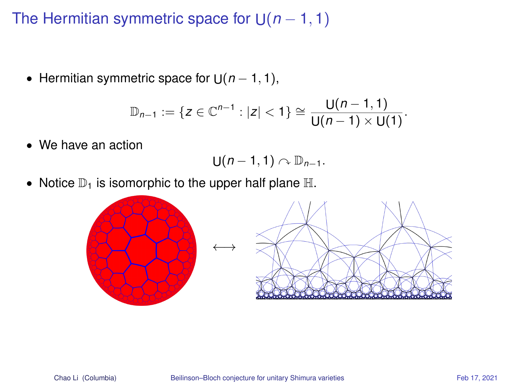# The Hermitian symmetric space for U(*n* − 1, 1)

• Hermitian symmetric space for  $U(n - 1, 1)$ ,

$$
\mathbb{D}_{n-1}:=\{z\in\mathbb{C}^{n-1}:|z|<1\}\cong \frac{U(n-1,1)}{U(n-1)\times U(1)}.
$$

• We have an action

$$
U(n-1,1)\curvearrowright \mathbb{D}_{n-1}.
$$

• Notice  $\mathbb{D}_1$  is isomorphic to the upper half plane  $\mathbb{H}$ .

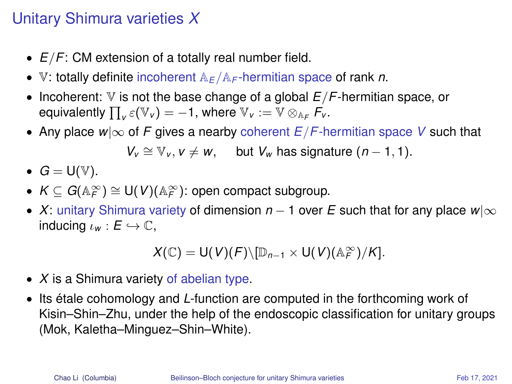# Unitary Shimura varieties *X*

- *E*/*F*: CM extension of a totally real number field.
- V: totally definite incoherent A*<sup>E</sup>* /A*<sup>F</sup>* -hermitian space of rank *n*.
- Incoherent: V is not the base change of a global *E*/*F*-hermitian space, or equivalently  $\prod_{v} \varepsilon(\mathbb{V}_{v}) = -1$ , where  $\mathbb{V}_{v} := \mathbb{V} \otimes_{\mathbb{A}_{F}} \mathcal{F}_{v}$ .
- Any place *w*|∞ of *F* gives a nearby coherent *E*/*F*-hermitian space *V* such that

 $V_v \cong V_v$ ,  $v \neq w$ , but  $V_w$  has signature  $(n-1, 1)$ .

- $G = U(V)$ .
- $\bullet$   $K\subseteq G(\mathbb{A}_F^\infty)\cong\mathsf{U}(V)(\mathbb{A}_F^\infty)$ : open compact subgroup.
- *X*: unitary Shimura variety of dimension *n* − 1 over *E* such that for any place *w*|∞ inducing  $\iota_w : E \hookrightarrow \mathbb{C}$ ,

$$
X(\mathbb{C}) = \mathsf{U}(V)(F) \setminus [\mathbb{D}_{n-1} \times \mathsf{U}(V)(\mathbb{A}_F^{\infty})/K].
$$

- *X* is a Shimura variety of abelian type.
- Its étale cohomology and *L*-function are computed in the forthcoming work of Kisin–Shin–Zhu, under the help of the endoscopic classification for unitary groups (Mok, Kaletha–Minguez–Shin–White).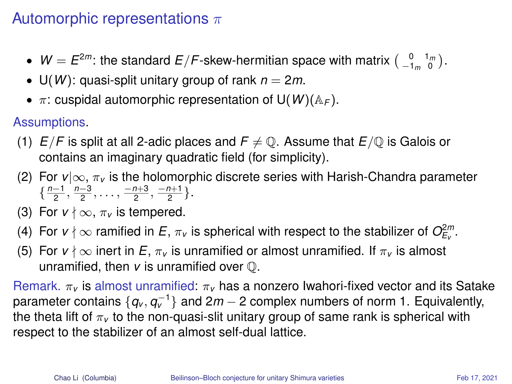# Automorphic representations  $\pi$

- $W = E^{2m}$ : the standard  $E/F$ -skew-hermitian space with matrix  $\begin{pmatrix} 0 & 1_m \\ -1_m & 0 \end{pmatrix}$ .
- $U(W)$ : quasi-split unitary group of rank  $n = 2m$ .
- π: cuspidal automorphic representation of U(*W*)(A*<sup>F</sup>* ).

Assumptions.

- (1)  $E/F$  is split at all 2-adic places and  $F \neq \mathbb{Q}$ . Assume that  $E/\mathbb{Q}$  is Galois or contains an imaginary quadratic field (for simplicity).
- (2) For *v*|∞, π*<sup>v</sup>* is the holomorphic discrete series with Harish-Chandra parameter  $\{\frac{n-1}{2}, \frac{n-3}{2}, \ldots, \frac{-n+3}{2}, \frac{-n+1}{2}\}.$
- (3) For  $v \nmid \infty$ ,  $\pi_v$  is tempered.
- (4) For  $v\nmid\infty$  ramified in  $E$ ,  $\pi_v$  is spherical with respect to the stabilizer of  $O_{E_v}^{2m}$ .
- (5) For  $v \nmid \infty$  inert in *E*,  $\pi_v$  is unramified or almost unramified. If  $\pi_v$  is almost unramified, then *v* is unramified over Q.

Remark. π*<sup>v</sup>* is almost unramified: π*<sup>v</sup>* has a nonzero Iwahori-fixed vector and its Satake parameter contains  $\{q_{\nu},q_{\nu}^{-1}\}$  and 2*m* − 2 complex numbers of norm 1. Equivalently, the theta lift of  $\pi<sub>v</sub>$  to the non-quasi-slit unitary group of same rank is spherical with respect to the stabilizer of an almost self-dual lattice.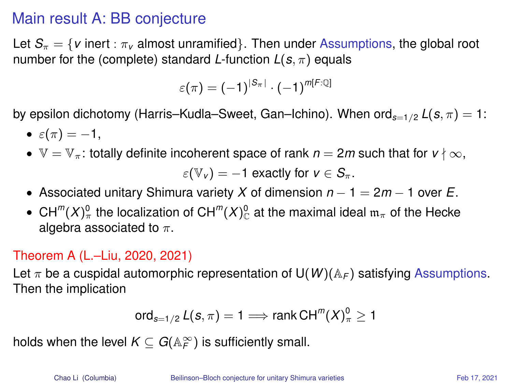### Main result A: BB conjecture

Let  $S_{\pi} = \{v \text{ inert } : \pi_v \text{ almost unramified} \}$ . Then under Assumptions, the global root number for the (complete) standard *L*-function  $L(s, \pi)$  equals

$$
\varepsilon(\pi) = (-1)^{|S_{\pi}|} \cdot (-1)^{m[F:\mathbb{Q}]}
$$

by epsilon dichotomy (Harris–Kudla–Sweet, Gan–Ichino). When  $\text{ord}_{s=1/2} L(s, \pi) = 1$ :

- $\varepsilon(\pi) = -1$ .
- $\mathbb{V} = \mathbb{V}_{\pi}$ : totally definite incoherent space of rank  $n = 2m$  such that for  $v \nmid \infty$ ,

$$
\varepsilon(\mathbb{V}_v)=-1
$$
 exactly for  $v \in S_\pi$ .

- Associated unitary Shimura variety *X* of dimension *n* − 1 = 2*m* − 1 over *E*.
- $\bullet \;$  CH $^m$ (*X*) $^0_\pi$  the localization of CH $^m$ (*X*) $^0_\mathbb{C}$  at the maximal ideal  $\mathfrak{m}_\pi$  of the Hecke algebra associated to  $\pi$ .

#### Theorem A (L.–Liu, 2020, 2021)

Let  $\pi$  be a cuspidal automorphic representation of U(*W*)( $A_F$ ) satisfying Assumptions. Then the implication

$$
\operatorname{ord}_{s=1/2} L(s,\pi) = 1 \Longrightarrow \operatorname{rank} \operatorname{CH}^m(X)^0_{\pi} \ge 1
$$

holds when the level  $K \subseteq G({\mathbb{A}}_F^\infty)$  is sufficiently small.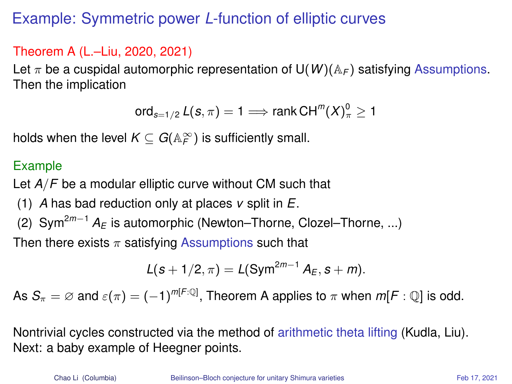# Example: Symmetric power *L*-function of elliptic curves

#### Theorem A (L.–Liu, 2020, 2021)

Let  $\pi$  be a cuspidal automorphic representation of  $U(W)(A_F)$  satisfying Assumptions. Then the implication

ord $_{s=1/2}$   $\mathcal{L}(s,\pi)=1 \Longrightarrow$  rank  $\mathsf{CH}^m(X)^0_{\pi} \geq 1$ 

holds when the level  $K\subseteq G(\mathbb{A}_F^\infty)$  is sufficiently small.

#### Example

Let *A*/*F* be a modular elliptic curve without CM such that

- (1) *A* has bad reduction only at places *v* split in *E*.
- (2) Sym<sup>2</sup>*m*−<sup>1</sup> *A<sup>E</sup>* is automorphic (Newton–Thorne, Clozel–Thorne, ...)

Then there exists  $\pi$  satisfying Assumptions such that

$$
L(s + 1/2, \pi) = L(Sym^{2m-1} A_E, s + m).
$$

As  $\mathcal{S}_\pi=\varnothing$  and  $\varepsilon(\pi)=(-1)^{m[F:\mathbb{Q}]}$ , Theorem A applies to  $\pi$  when  $m[F:\mathbb{Q}]$  is odd.

Nontrivial cycles constructed via the method of arithmetic theta lifting (Kudla, Liu). Next: a baby example of Heegner points.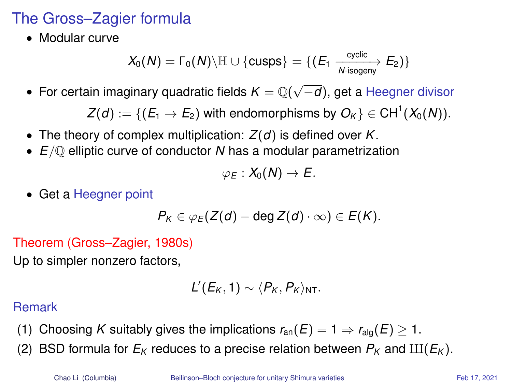# The Gross–Zagier formula

• Modular curve

$$
X_0(N)=\Gamma_0(N)\backslash \mathbb{H}\cup \{\text{cusps}\}=\{(E_1\xrightarrow[N\text{-isogeny} E_2)\}
$$

• For certain imaginary quadratic fields *K* = Q( √ −*d*), get a Heegner divisor

 $Z(d) := \{ (E_1 \rightarrow E_2)$  with endomorphisms by  $O_K \} \in \mathrm{CH}^1(X_0(N)).$ 

- The theory of complex multiplication: *Z*(*d*) is defined over *K*.
- *E*/Q elliptic curve of conductor *N* has a modular parametrization

$$
\varphi_E:X_0(N)\to E.
$$

• Get a Heegner point

$$
P_K\in \varphi_E(Z(d)-\text{deg }Z(d)\cdot\infty)\in E(K).
$$

Theorem (Gross–Zagier, 1980s)

Up to simpler nonzero factors,

$$
L'(E_K,1)\sim \langle P_K, P_K\rangle_{\text{NT}}.
$$

#### Remark

- (1) Choosing *K* suitably gives the implications  $r_{an}(E) = 1 \Rightarrow r_{a}(\overline{E}) \geq 1$ .
- (2) BSD formula for  $E_K$  reduces to a precise relation between  $P_K$  and  $III(E_K)$ .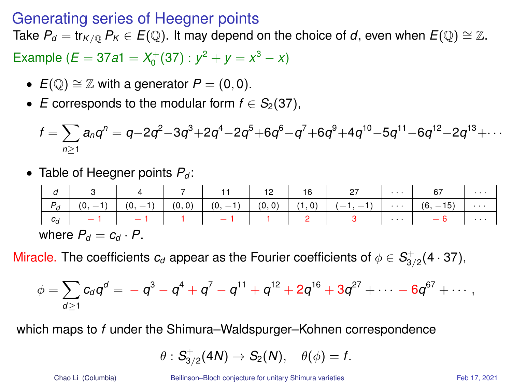#### Generating series of Heegner points

Take  $P_d = \text{tr}_{K/0} P_K \in E(\mathbb{Q})$ . It may depend on the choice of *d*, even when  $E(\mathbb{Q}) \cong \mathbb{Z}$ .

Example ( $E = 37a1 = X_0^+(37)$ :  $y^2 + y = x^3 - x$ )

- $E(\mathbb{O}) \cong \mathbb{Z}$  with a generator  $P = (0, 0)$ .
- *E* corresponds to the modular form  $f \in S_2(37)$ ,

$$
f = \sum_{n\geq 1} a_n q^n = q - 2q^2 - 3q^3 + 2q^4 - 2q^5 + 6q^6 - q^7 + 6q^9 + 4q^{10} - 5q^{11} - 6q^{12} - 2q^{13} + \cdots
$$

• Table of Heegner points *P<sup>d</sup>* :

|                             |  |  |  |  |  |  | $d \mid d \mid 3 \mid 4 \mid 7 \mid 11 \mid 12 \mid 16 \mid 27 \mid  \mid 67 \mid $ |  |  |
|-----------------------------|--|--|--|--|--|--|-------------------------------------------------------------------------------------|--|--|
|                             |  |  |  |  |  |  |                                                                                     |  |  |
|                             |  |  |  |  |  |  |                                                                                     |  |  |
| where $P_d = c_d \cdot P$ . |  |  |  |  |  |  |                                                                                     |  |  |

Miracle. The coefficients  $c_d$  appear as the Fourier coefficients of  $\phi \in S^+_{3/2}(4\cdot 37)$ ,

$$
\phi = \sum_{d \geq 1} c_d q^d = -q^3 - q^4 + q^7 - q^{11} + q^{12} + 2q^{16} + 3q^{27} + \cdots - 6q^{67} + \cdots,
$$

which maps to *f* under the Shimura–Waldspurger–Kohnen correspondence

$$
\theta: S_{3/2}^+(4N) \to S_2(N), \quad \theta(\phi) = f.
$$

Chao Li (Columbia) [Beilinson–Bloch conjecture for unitary Shimura varieties](#page-0-0) Feb 17, 2021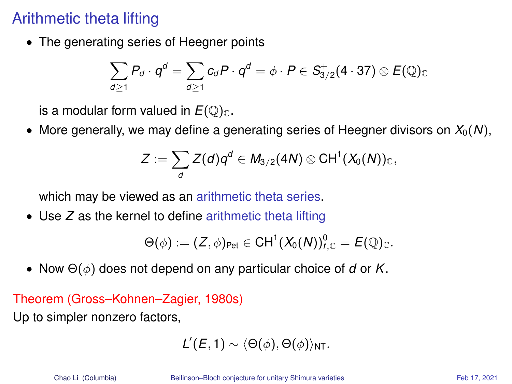# Arithmetic theta lifting

• The generating series of Heegner points

$$
\sum_{d\geq 1} P_d \cdot q^d = \sum_{d\geq 1} c_d P \cdot q^d = \phi \cdot P \in S^+_{3/2}(4 \cdot 37) \otimes E(\mathbb{Q})_{\mathbb{C}}
$$

is a modular form valued in  $E(\mathbb{Q})_{\mathbb{C}}$ .

• More generally, we may define a generating series of Heegner divisors on  $X_0(N)$ ,

$$
Z:=\sum_{d}Z(d)q^d\in M_{3/2}(4N)\otimes \text{CH}^1(X_0(N))_{\mathbb{C}},
$$

which may be viewed as an arithmetic theta series.

• Use *Z* as the kernel to define arithmetic theta lifting

$$
\Theta(\phi):=(Z,\phi)_{\text{Pet}}\in \text{CH}^1(X_0(N))_{f,\mathbb{C}}^0=E(\mathbb{Q})_{\mathbb{C}}.
$$

• Now Θ(φ) does not depend on any particular choice of *d* or *K*.

#### Theorem (Gross–Kohnen–Zagier, 1980s)

Up to simpler nonzero factors,

$$
L'(E,1) \sim \langle \Theta(\phi), \Theta(\phi) \rangle_{\text{NT}}.
$$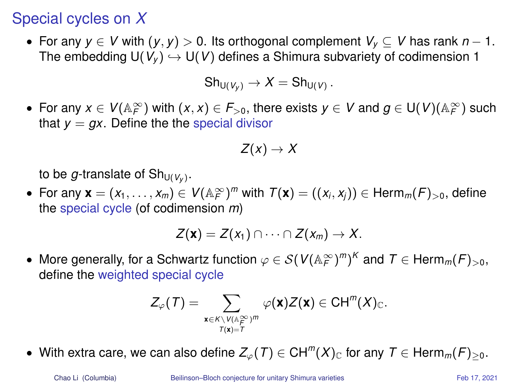### Special cycles on *X*

• For any  $y \in V$  with  $(y, y) > 0$ . Its orthogonal complement  $V_y \subset V$  has rank  $n - 1$ . The embedding  $U(V_{v}) \hookrightarrow U(V)$  defines a Shimura subvariety of codimension 1

$$
Sh_{U(V_y)}\to X=Sh_{U(V)}.
$$

• For any  $x \in V(\mathbb{A}_F^\infty)$  with  $(x, x) \in F_{>0}$ , there exists  $y \in V$  and  $g \in U(V)(\mathbb{A}_F^\infty)$  such that  $y = qx$ . Define the the special divisor

$$
Z(x)\to X
$$

to be  $g$ -translate of  $\mathsf{Sh}_{\mathsf{U}(V_\mathcal{Y})}.$ 

• For any  $\mathbf{x} = (x_1, \ldots, x_m) \in V(\mathbb{A}_F^\infty)^m$  with  $\mathcal{T}(\mathbf{x}) = ((x_i, x_j)) \in \mathsf{Herm}_m(F)_{>0}$ , define the special cycle (of codimension *m*)

$$
Z(\mathbf{x})=Z(x_1)\cap\cdots\cap Z(x_m)\to X.
$$

• More generally, for a Schwartz function  $\varphi \in \mathcal{S}(V(\mathbb{A}_F^\infty)^m)^K$  and  $\mathcal{T} \in \mathsf{Herm}_m(\mathcal{F})_{>0},$ define the weighted special cycle

$$
Z_{\varphi}(\mathcal{T})=\sum_{\substack{\mathbf{x}\in K\setminus V(\mathbb{A}_F^{\infty})^m\\ \mathcal{T}(\mathbf{x})=\mathcal{T}}}\varphi(\mathbf{x})Z(\mathbf{x})\in \mathrm{CH}^m(X)_{\mathbb{C}}.
$$

• With extra care, we can also define  $Z_\varphi(T) \in \mathsf{CH}^m(X)_\mathbb{C}$  for any  $T \in \mathsf{Herm}_m(F)_{\geq 0}$ .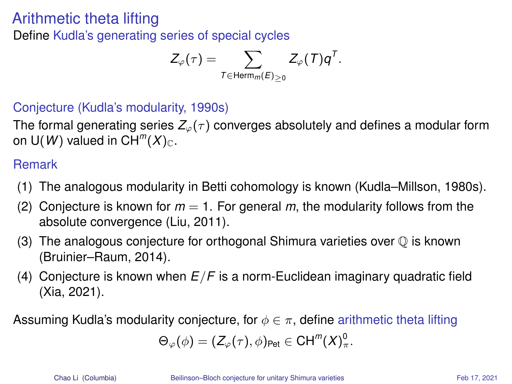### Arithmetic theta lifting

Define Kudla's generating series of special cycles

$$
Z_{\varphi}(\tau) = \sum_{T \in \text{Herm}_{m}(E)_{\geq 0}} Z_{\varphi}(T) q^{T}.
$$

#### Conjecture (Kudla's modularity, 1990s)

The formal generating series  $Z_{\varphi}(\tau)$  converges absolutely and defines a modular form on  $\mathsf{U}(\mathsf{W})$  valued in  $\mathsf{CH}^m(X)_{\mathbb{C}}.$ 

#### Remark

- (1) The analogous modularity in Betti cohomology is known (Kudla–Millson, 1980s).
- (2) Conjecture is known for  $m = 1$ . For general  $m$ , the modularity follows from the absolute convergence (Liu, 2011).
- (3) The analogous conjecture for orthogonal Shimura varieties over  $\mathbb O$  is known (Bruinier–Raum, 2014).
- (4) Conjecture is known when *E*/*F* is a norm-Euclidean imaginary quadratic field (Xia, 2021).

Assuming Kudla's modularity conjecture, for  $\phi \in \pi$ , define arithmetic theta lifting

$$
\Theta_{\varphi}(\phi)=(Z_{\varphi}(\tau),\phi)_{\text{Pet}}\in \mathrm{CH}^m(X)_{\pi}^0.
$$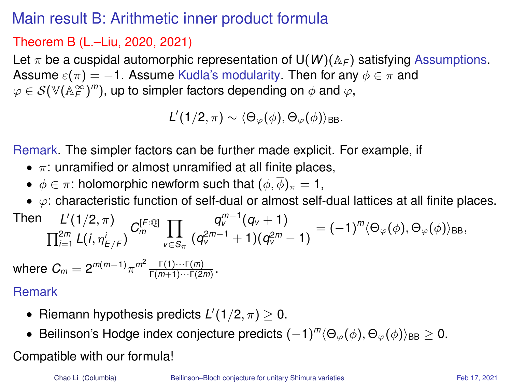# Main result B: Arithmetic inner product formula

### Theorem B (L.–Liu, 2020, 2021)

Let  $\pi$  be a cuspidal automorphic representation of U(*W*)( $A_F$ ) satisfying Assumptions. Assume  $\varepsilon(\pi) = -1$ . Assume Kudla's modularity. Then for any  $\phi \in \pi$  and  $\varphi \in \mathcal{S}(\mathbb{V}(\mathbb{A}_\mathcal{F}^\infty)^m)$ , up to simpler factors depending on  $\phi$  and  $\varphi,$ 

 $\mathcal{L}' (1/2, \pi) \sim \langle \Theta_{\varphi} (\phi), \Theta_{\varphi} (\phi) \rangle_{\mathsf{BB}}.$ 

Remark. The simpler factors can be further made explicit. For example, if

- $\pi$ : unramified or almost unramified at all finite places,
- $\phi \in \pi$ : holomorphic newform such that  $(\phi, \overline{\phi})_{\pi} = 1$ ,
- $\bullet$   $\varphi$ : characteristic function of self-dual or almost self-dual lattices at all finite places.

Then 
$$
\frac{L'(1/2, \pi)}{\prod_{i=1}^{2m} L(i, \eta_{E/F}^i)} C_m^{[F:\mathbb{Q}]} \prod_{v \in S_{\pi}} \frac{q_v^{m-1}(q_v + 1)}{(q_v^{2m-1} + 1)(q_v^{2m} - 1)} = (-1)^m \langle \Theta_{\varphi}(\phi), \Theta_{\varphi}(\phi) \rangle_{\text{BB}},
$$

where  $C_m = 2^{m(m-1)} \pi^{m^2} \frac{\Gamma(1) \cdots \Gamma(m)}{\Gamma(m+1) \cdots \Gamma(2m)}$ .

#### Remark

- Riemann hypothesis predicts  $L'(1/2, \pi) \geq 0$ .
- Beilinson's Hodge index conjecture predicts  $(-1)^m \langle \Theta_\varphi(\phi), \Theta_\varphi(\phi) \rangle_{\text{BB}} \geq 0.$

#### Compatible with our formula!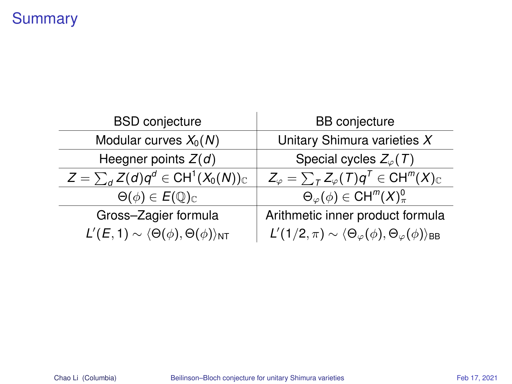# **Summary**

| <b>BSD</b> conjecture                                                  | <b>BB</b> conjecture                                                                           |  |  |  |
|------------------------------------------------------------------------|------------------------------------------------------------------------------------------------|--|--|--|
| Modular curves $X_0(N)$                                                | Unitary Shimura varieties X                                                                    |  |  |  |
| Heegner points $Z(d)$                                                  | Special cycles $Z_{\varphi}(\mathcal{T})$                                                      |  |  |  |
| $Z = \sum_{d} Z(d) q^{d} \in \text{CH}^{1}(X_{0}(N))_{\mathbb{C}}$     | $Z_{\varphi} = \sum_{\tau} Z_{\varphi}(\tau) q^{\tau} \in \mathrm{CH}^m(X)_{\mathbb{C}}$       |  |  |  |
| $\Theta(\phi) \in E(\mathbb{Q})_{\mathbb{C}}$                          | $\Theta_{\varphi}(\phi) \in \mathrm{CH}^m(X)^0_{\pi}$                                          |  |  |  |
| Gross-Zagier formula                                                   | Arithmetic inner product formula                                                               |  |  |  |
| $L'(E, 1) \sim \langle \Theta(\phi), \Theta(\phi) \rangle_{\text{NT}}$ | $L'(1/2, \pi) \sim \langle \Theta_{\varphi}(\phi), \Theta_{\varphi}(\phi) \rangle_{\text{BB}}$ |  |  |  |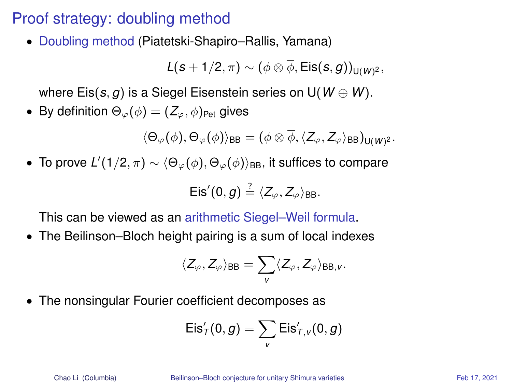## Proof strategy: doubling method

• Doubling method (Piatetski-Shapiro–Rallis, Yamana)

 $\mathcal{L}(\boldsymbol{s}+1/2,\pi)\sim(\phi\otimes\phi,\mathsf{Eis}(\boldsymbol{s},g))_{\mathsf{U}(\boldsymbol{W})^2},$ 

where  $Eis(s, g)$  is a Siegel Eisenstein series on  $U(W \oplus W)$ .

• By definition  $\Theta_{\varphi}(\phi) = (Z_{\varphi}, \phi)_{\text{Pet}}$  gives

 $\langle \Theta_\varphi(\phi), \Theta_\varphi(\phi)\rangle_\mathsf{BB} = (\phi \otimes \phi, \langle Z_\varphi,Z_\varphi\rangle_\mathsf{BB})_{\mathsf{U}(W)^2}.$ 

 $\bullet$  To prove *L'*(1/2, π)  $\sim$   $\langle \Theta_{\varphi}(\phi), \Theta_{\varphi}(\phi) \rangle$ <sub>BB</sub>, it suffices to compare  $Eis'(0, g) \stackrel{?}{=} \langle Z_{\varphi}, Z_{\varphi} \rangle_{\text{BB}}.$ 

This can be viewed as an arithmetic Siegel–Weil formula.

• The Beilinson–Bloch height pairing is a sum of local indexes

$$
\langle Z_{\varphi}, Z_{\varphi} \rangle_{\sf BB} = \sum_{\mathsf{\nu}} \langle Z_{\varphi}, Z_{\varphi} \rangle_{{\sf BB},\mathsf{\nu}}.
$$

• The nonsingular Fourier coefficient decomposes as

$$
\mathsf{Eis}'_T(0,g) = \sum_{v} \mathsf{Eis}'_{T,v}(0,g)
$$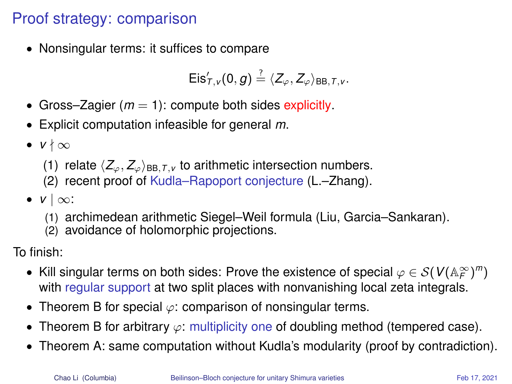# Proof strategy: comparison

• Nonsingular terms: it suffices to compare

$$
Eis'_{\mathcal{T},v}(0,g)\stackrel{?}{=}\langle Z_{\varphi},Z_{\varphi}\rangle_{BB,\mathcal{T},v}.
$$

- Gross–Zagier  $(m = 1)$ : compute both sides explicitly.
- Explicit computation infeasible for general *m*.
- $v \nmid \infty$ 
	- (1) relate  $\langle Z_{\varphi}, Z_{\varphi} \rangle_{\text{BB},T,V}$  to arithmetic intersection numbers.
	- (2) recent proof of Kudla–Rapoport conjecture (L.–Zhang).
- *v* | ∞:
	- (1) archimedean arithmetic Siegel–Weil formula (Liu, Garcia–Sankaran).
	- (2) avoidance of holomorphic projections.

To finish:

- Kill singular terms on both sides: Prove the existence of special  $\varphi \in \mathcal{S}(V(\mathbb{A}_F^\infty)^m)$ with regular support at two split places with nonvanishing local zeta integrals.
- Theorem B for special  $\varphi$ : comparison of nonsingular terms.
- Theorem B for arbitrary  $\varphi$ : multiplicity one of doubling method (tempered case).
- Theorem A: same computation without Kudla's modularity (proof by contradiction).